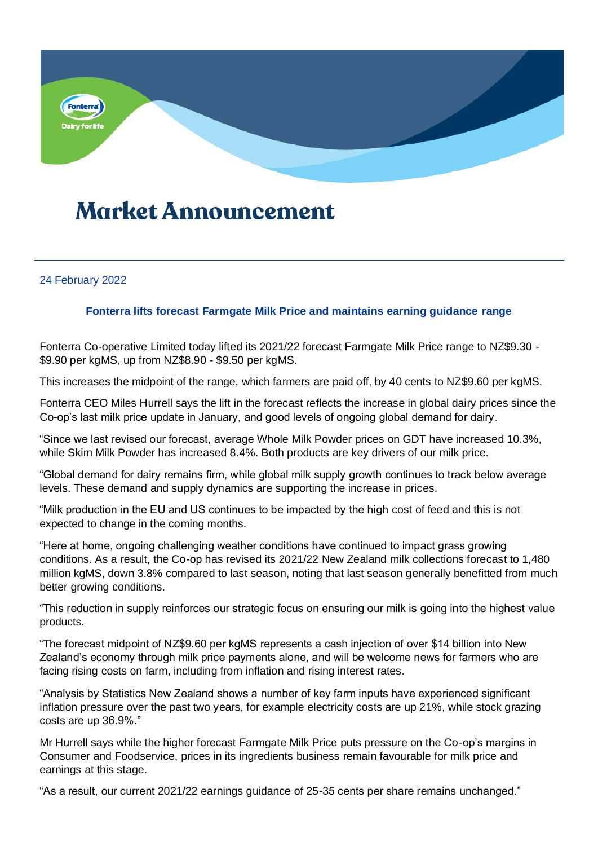

## **Market Announcement**

## 24 February 2022

## **Fonterra lifts forecast Farmgate Milk Price and maintains earning guidance range**

Fonterra Co-operative Limited today lifted its 2021/22 forecast Farmgate Milk Price range to NZ\$9.30 - \$9.90 per kgMS, up from NZ\$8.90 - \$9.50 per kgMS.

This increases the midpoint of the range, which farmers are paid off, by 40 cents to NZ\$9.60 per kgMS.

Fonterra CEO Miles Hurrell says the lift in the forecast reflects the increase in global dairy prices since the Co-op's last milk price update in January, and good levels of ongoing global demand for dairy.

"Since we last revised our forecast, average Whole Milk Powder prices on GDT have increased 10.3%, while Skim Milk Powder has increased 8.4%. Both products are key drivers of our milk price.

"Global demand for dairy remains firm, while global milk supply growth continues to track below average levels. These demand and supply dynamics are supporting the increase in prices.

"Milk production in the EU and US continues to be impacted by the high cost of feed and this is not expected to change in the coming months.

"Here at home, ongoing challenging weather conditions have continued to impact grass growing conditions. As a result, the Co-op has revised its 2021/22 New Zealand milk collections forecast to 1,480 million kgMS, down 3.8% compared to last season, noting that last season generally benefitted from much better growing conditions.

"This reduction in supply reinforces our strategic focus on ensuring our milk is going into the highest value products.

"The forecast midpoint of NZ\$9.60 per kgMS represents a cash injection of over \$14 billion into New Zealand's economy through milk price payments alone, and will be welcome news for farmers who are facing rising costs on farm, including from inflation and rising interest rates.

"Analysis by Statistics New Zealand shows a number of key farm inputs have experienced significant inflation pressure over the past two years, for example electricity costs are up 21%, while stock grazing costs are up 36.9%."

Mr Hurrell says while the higher forecast Farmgate Milk Price puts pressure on the Co-op's margins in Consumer and Foodservice, prices in its ingredients business remain favourable for milk price and earnings at this stage.

"As a result, our current 2021/22 earnings guidance of 25-35 cents per share remains unchanged."